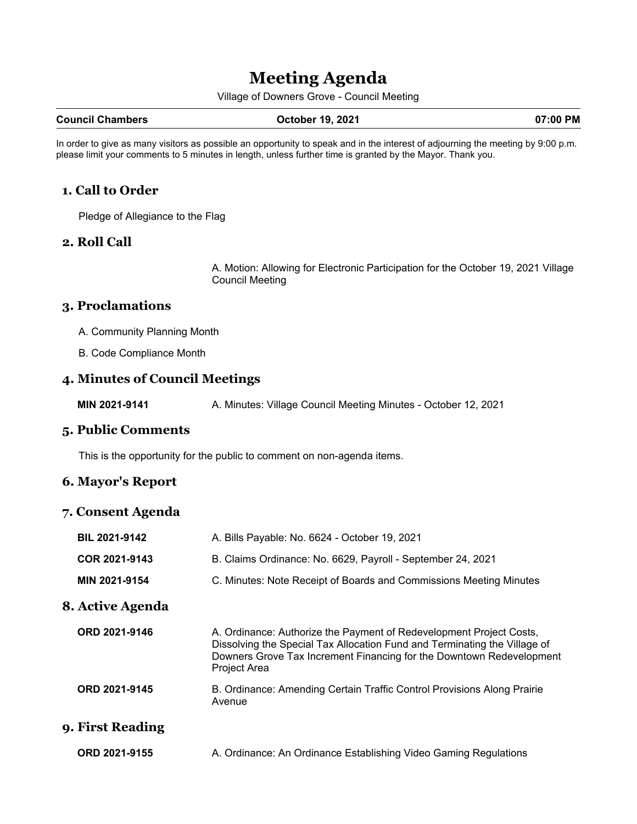# **Meeting Agenda**

Village of Downers Grove - Council Meeting

#### **Council Chambers October 19, 2021 07:00 PM**

In order to give as many visitors as possible an opportunity to speak and in the interest of adjourning the meeting by 9:00 p.m. please limit your comments to 5 minutes in length, unless further time is granted by the Mayor. Thank you.

## **1. Call to Order**

Pledge of Allegiance to the Flag

## **2. Roll Call**

A. Motion: Allowing for Electronic Participation for the October 19, 2021 Village Council Meeting

#### **3. Proclamations**

- A. Community Planning Month
- B. Code Compliance Month

#### **4. Minutes of Council Meetings**

**MIN 2021-9141** A. Minutes: Village Council Meeting Minutes - October 12, 2021

#### **5. Public Comments**

This is the opportunity for the public to comment on non-agenda items.

#### **6. Mayor's Report**

#### **7. Consent Agenda**

| BIL 2021-9142           | A. Bills Payable: No. 6624 - October 19, 2021                                                                                                                                                                                            |
|-------------------------|------------------------------------------------------------------------------------------------------------------------------------------------------------------------------------------------------------------------------------------|
| COR 2021-9143           | B. Claims Ordinance: No. 6629, Payroll - September 24, 2021                                                                                                                                                                              |
| MIN 2021-9154           | C. Minutes: Note Receipt of Boards and Commissions Meeting Minutes                                                                                                                                                                       |
| <b>8. Active Agenda</b> |                                                                                                                                                                                                                                          |
| ORD 2021-9146           | A. Ordinance: Authorize the Payment of Redevelopment Project Costs,<br>Dissolving the Special Tax Allocation Fund and Terminating the Village of<br>Downers Grove Tax Increment Financing for the Downtown Redevelopment<br>Project Area |
| ORD 2021-9145           | B. Ordinance: Amending Certain Traffic Control Provisions Along Prairie<br>Avenue                                                                                                                                                        |
| 9. First Reading        |                                                                                                                                                                                                                                          |

**ORD 2021-9155** A. Ordinance: An Ordinance Establishing Video Gaming Regulations